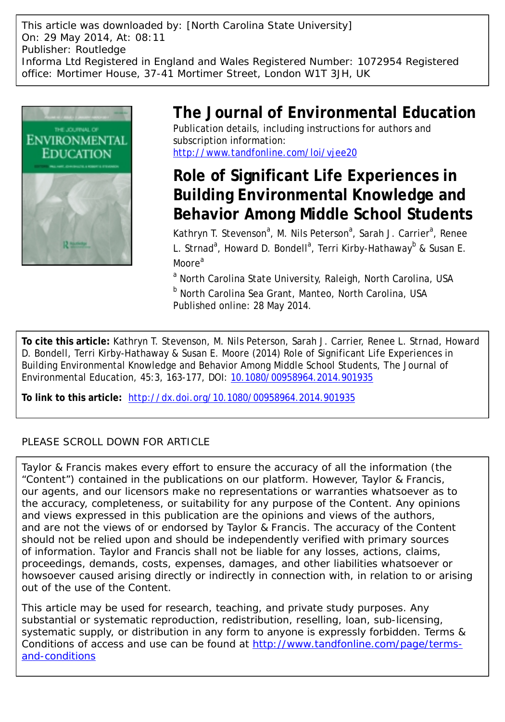This article was downloaded by: [North Carolina State University] On: 29 May 2014, At: 08:11 Publisher: Routledge Informa Ltd Registered in England and Wales Registered Number: 1072954 Registered office: Mortimer House, 37-41 Mortimer Street, London W1T 3JH, UK



# **The Journal of Environmental Education**

Publication details, including instructions for authors and subscription information: <http://www.tandfonline.com/loi/vjee20>

## **Role of Significant Life Experiences in Building Environmental Knowledge and Behavior Among Middle School Students**

Kathryn T. Stevenson<sup>a</sup>, M. Nils Peterson<sup>a</sup>, Sarah J. Carrier<sup>a</sup>, Renee L. Strnad<sup>a</sup>, Howard D. Bondell<sup>a</sup>, Terri Kirby-Hathaway<sup>b</sup> & Susan E. Moore<sup>a</sup>

<sup>a</sup> North Carolina State University, Raleigh, North Carolina, USA <sup>b</sup> North Carolina Sea Grant, Manteo, North Carolina, USA Published online: 28 May 2014.

**To cite this article:** Kathryn T. Stevenson, M. Nils Peterson, Sarah J. Carrier, Renee L. Strnad, Howard D. Bondell, Terri Kirby-Hathaway & Susan E. Moore (2014) Role of Significant Life Experiences in Building Environmental Knowledge and Behavior Among Middle School Students, The Journal of Environmental Education, 45:3, 163-177, DOI: [10.1080/00958964.2014.901935](http://www.tandfonline.com/action/showCitFormats?doi=10.1080/00958964.2014.901935)

**To link to this article:** <http://dx.doi.org/10.1080/00958964.2014.901935>

### PLEASE SCROLL DOWN FOR ARTICLE

Taylor & Francis makes every effort to ensure the accuracy of all the information (the "Content") contained in the publications on our platform. However, Taylor & Francis, our agents, and our licensors make no representations or warranties whatsoever as to the accuracy, completeness, or suitability for any purpose of the Content. Any opinions and views expressed in this publication are the opinions and views of the authors, and are not the views of or endorsed by Taylor & Francis. The accuracy of the Content should not be relied upon and should be independently verified with primary sources of information. Taylor and Francis shall not be liable for any losses, actions, claims, proceedings, demands, costs, expenses, damages, and other liabilities whatsoever or howsoever caused arising directly or indirectly in connection with, in relation to or arising out of the use of the Content.

This article may be used for research, teaching, and private study purposes. Any substantial or systematic reproduction, redistribution, reselling, loan, sub-licensing, systematic supply, or distribution in any form to anyone is expressly forbidden. Terms & Conditions of access and use can be found at [http://www.tandfonline.com/page/terms](http://www.tandfonline.com/page/terms-and-conditions)[and-conditions](http://www.tandfonline.com/page/terms-and-conditions)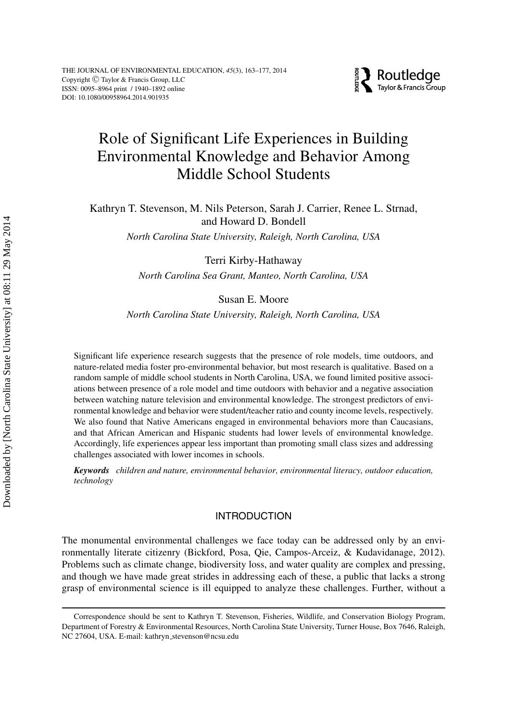

### Role of Significant Life Experiences in Building Environmental Knowledge and Behavior Among Middle School Students

Kathryn T. Stevenson, M. Nils Peterson, Sarah J. Carrier, Renee L. Strnad, and Howard D. Bondell

*North Carolina State University, Raleigh, North Carolina, USA*

Terri Kirby-Hathaway

*North Carolina Sea Grant, Manteo, North Carolina, USA*

Susan E. Moore

*North Carolina State University, Raleigh, North Carolina, USA*

Significant life experience research suggests that the presence of role models, time outdoors, and nature-related media foster pro-environmental behavior, but most research is qualitative. Based on a random sample of middle school students in North Carolina, USA, we found limited positive associations between presence of a role model and time outdoors with behavior and a negative association between watching nature television and environmental knowledge. The strongest predictors of environmental knowledge and behavior were student/teacher ratio and county income levels, respectively. We also found that Native Americans engaged in environmental behaviors more than Caucasians, and that African American and Hispanic students had lower levels of environmental knowledge. Accordingly, life experiences appear less important than promoting small class sizes and addressing challenges associated with lower incomes in schools.

*Keywords children and nature, environmental behavior, environmental literacy, outdoor education, technology*

#### INTRODUCTION

The monumental environmental challenges we face today can be addressed only by an environmentally literate citizenry (Bickford, Posa, Qie, Campos-Arceiz, & Kudavidanage, 2012). Problems such as climate change, biodiversity loss, and water quality are complex and pressing, and though we have made great strides in addressing each of these, a public that lacks a strong grasp of environmental science is ill equipped to analyze these challenges. Further, without a

Correspondence should be sent to Kathryn T. Stevenson, Fisheries, Wildlife, and Conservation Biology Program, Department of Forestry & Environmental Resources, North Carolina State University, Turner House, Box 7646, Raleigh, NC 27604, USA. E-mail: kathryn stevenson@ncsu.edu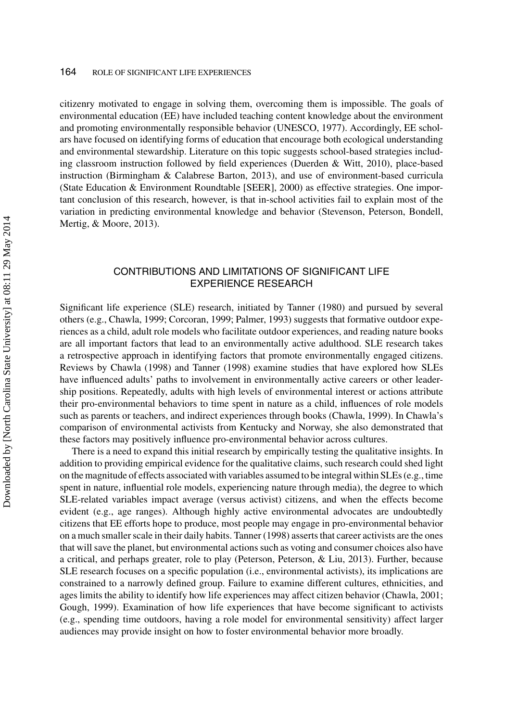citizenry motivated to engage in solving them, overcoming them is impossible. The goals of environmental education (EE) have included teaching content knowledge about the environment and promoting environmentally responsible behavior (UNESCO, 1977). Accordingly, EE scholars have focused on identifying forms of education that encourage both ecological understanding and environmental stewardship. Literature on this topic suggests school-based strategies including classroom instruction followed by field experiences (Duerden & Witt, 2010), place-based instruction (Birmingham & Calabrese Barton, 2013), and use of environment-based curricula (State Education & Environment Roundtable [SEER], 2000) as effective strategies. One important conclusion of this research, however, is that in-school activities fail to explain most of the variation in predicting environmental knowledge and behavior (Stevenson, Peterson, Bondell, Mertig, & Moore, 2013).

#### CONTRIBUTIONS AND LIMITATIONS OF SIGNIFICANT LIFE EXPERIENCE RESEARCH

Significant life experience (SLE) research, initiated by Tanner (1980) and pursued by several others (e.g., Chawla, 1999; Corcoran, 1999; Palmer, 1993) suggests that formative outdoor experiences as a child, adult role models who facilitate outdoor experiences, and reading nature books are all important factors that lead to an environmentally active adulthood. SLE research takes a retrospective approach in identifying factors that promote environmentally engaged citizens. Reviews by Chawla (1998) and Tanner (1998) examine studies that have explored how SLEs have influenced adults' paths to involvement in environmentally active careers or other leadership positions. Repeatedly, adults with high levels of environmental interest or actions attribute their pro-environmental behaviors to time spent in nature as a child, influences of role models such as parents or teachers, and indirect experiences through books (Chawla, 1999). In Chawla's comparison of environmental activists from Kentucky and Norway, she also demonstrated that these factors may positively influence pro-environmental behavior across cultures.

There is a need to expand this initial research by empirically testing the qualitative insights. In addition to providing empirical evidence for the qualitative claims, such research could shed light on the magnitude of effects associated with variables assumed to be integral within SLEs (e.g., time spent in nature, influential role models, experiencing nature through media), the degree to which SLE-related variables impact average (versus activist) citizens, and when the effects become evident (e.g., age ranges). Although highly active environmental advocates are undoubtedly citizens that EE efforts hope to produce, most people may engage in pro-environmental behavior on a much smaller scale in their daily habits. Tanner (1998) asserts that career activists are the ones that will save the planet, but environmental actions such as voting and consumer choices also have a critical, and perhaps greater, role to play (Peterson, Peterson, & Liu, 2013). Further, because SLE research focuses on a specific population (i.e., environmental activists), its implications are constrained to a narrowly defined group. Failure to examine different cultures, ethnicities, and ages limits the ability to identify how life experiences may affect citizen behavior (Chawla, 2001; Gough, 1999). Examination of how life experiences that have become significant to activists (e.g., spending time outdoors, having a role model for environmental sensitivity) affect larger audiences may provide insight on how to foster environmental behavior more broadly.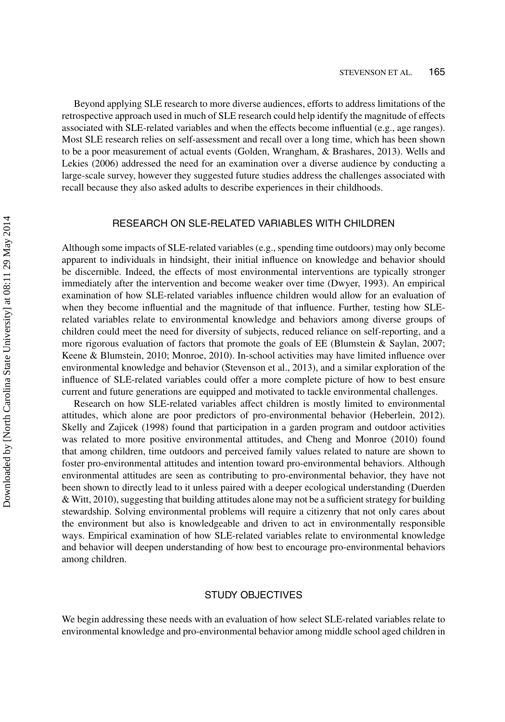Beyond applying SLE research to more diverse audiences, efforts to address limitations of the retrospective approach used in much of SLE research could help identify the magnitude of effects associated with SLE-related variables and when the effects become influential (e.g., age ranges). Most SLE research relies on self-assessment and recall over a long time, which has been shown to be a poor measurement of actual events (Golden, Wrangham, & Brashares, 2013). Wells and Lekies (2006) addressed the need for an examination over a diverse audience by conducting a large-scale survey, however they suggested future studies address the challenges associated with recall because they also asked adults to describe experiences in their childhoods.

#### RESEARCH ON SLE-RELATED VARIABLES WITH CHILDREN

Although some impacts of SLE-related variables (e.g., spending time outdoors) may only become apparent to individuals in hindsight, their initial influence on knowledge and behavior should be discernible. Indeed, the effects of most environmental interventions are typically stronger immediately after the intervention and become weaker over time (Dwyer, 1993). An empirical examination of how SLE-related variables influence children would allow for an evaluation of when they become influential and the magnitude of that influence. Further, testing how SLErelated variables relate to environmental knowledge and behaviors among diverse groups of children could meet the need for diversity of subjects, reduced reliance on self-reporting, and a more rigorous evaluation of factors that promote the goals of EE (Blumstein & Saylan, 2007; Keene & Blumstein, 2010; Monroe, 2010). In-school activities may have limited influence over environmental knowledge and behavior (Stevenson et al., 2013), and a similar exploration of the influence of SLE-related variables could offer a more complete picture of how to best ensure current and future generations are equipped and motivated to tackle environmental challenges.

Research on how SLE-related variables affect children is mostly limited to environmental attitudes, which alone are poor predictors of pro-environmental behavior (Heberlein, 2012). Skelly and Zajicek (1998) found that participation in a garden program and outdoor activities was related to more positive environmental attitudes, and Cheng and Monroe (2010) found that among children, time outdoors and perceived family values related to nature are shown to foster pro-environmental attitudes and intention toward pro-environmental behaviors. Although environmental attitudes are seen as contributing to pro-environmental behavior, they have not been shown to directly lead to it unless paired with a deeper ecological understanding (Duerden & Witt, 2010), suggesting that building attitudes alone may not be a sufficient strategy for building stewardship. Solving environmental problems will require a citizenry that not only cares about the environment but also is knowledgeable and driven to act in environmentally responsible ways. Empirical examination of how SLE-related variables relate to environmental knowledge and behavior will deepen understanding of how best to encourage pro-environmental behaviors among children.

#### STUDY OBJECTIVES

We begin addressing these needs with an evaluation of how select SLE-related variables relate to environmental knowledge and pro-environmental behavior among middle school aged children in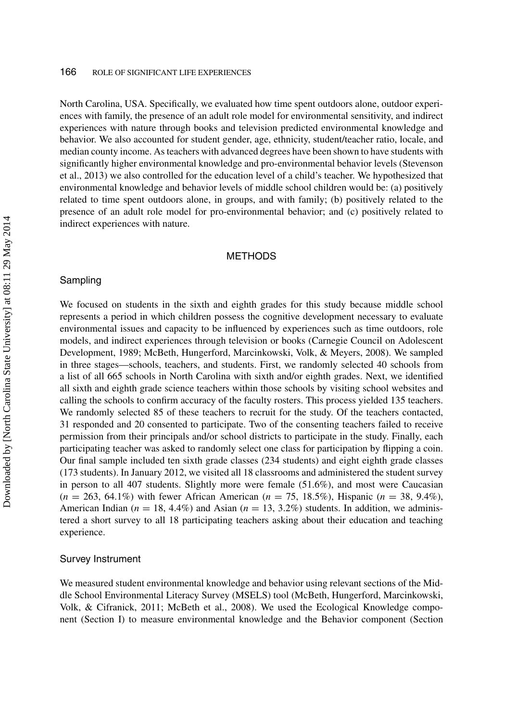North Carolina, USA. Specifically, we evaluated how time spent outdoors alone, outdoor experiences with family, the presence of an adult role model for environmental sensitivity, and indirect experiences with nature through books and television predicted environmental knowledge and behavior. We also accounted for student gender, age, ethnicity, student/teacher ratio, locale, and median county income. As teachers with advanced degrees have been shown to have students with significantly higher environmental knowledge and pro-environmental behavior levels (Stevenson et al., 2013) we also controlled for the education level of a child's teacher. We hypothesized that environmental knowledge and behavior levels of middle school children would be: (a) positively related to time spent outdoors alone, in groups, and with family; (b) positively related to the presence of an adult role model for pro-environmental behavior; and (c) positively related to indirect experiences with nature.

#### METHODS

#### Sampling

We focused on students in the sixth and eighth grades for this study because middle school represents a period in which children possess the cognitive development necessary to evaluate environmental issues and capacity to be influenced by experiences such as time outdoors, role models, and indirect experiences through television or books (Carnegie Council on Adolescent Development, 1989; McBeth, Hungerford, Marcinkowski, Volk, & Meyers, 2008). We sampled in three stages—schools, teachers, and students. First, we randomly selected 40 schools from a list of all 665 schools in North Carolina with sixth and/or eighth grades. Next, we identified all sixth and eighth grade science teachers within those schools by visiting school websites and calling the schools to confirm accuracy of the faculty rosters. This process yielded 135 teachers. We randomly selected 85 of these teachers to recruit for the study. Of the teachers contacted, 31 responded and 20 consented to participate. Two of the consenting teachers failed to receive permission from their principals and/or school districts to participate in the study. Finally, each participating teacher was asked to randomly select one class for participation by flipping a coin. Our final sample included ten sixth grade classes (234 students) and eight eighth grade classes (173 students). In January 2012, we visited all 18 classrooms and administered the student survey in person to all 407 students. Slightly more were female (51.6%), and most were Caucasian (*n* = 263, 64.1%) with fewer African American (*n* = 75, 18.5%), Hispanic (*n* = 38, 9.4%), American Indian ( $n = 18, 4.4\%$ ) and Asian ( $n = 13, 3.2\%$ ) students. In addition, we administered a short survey to all 18 participating teachers asking about their education and teaching experience.

#### Survey Instrument

We measured student environmental knowledge and behavior using relevant sections of the Middle School Environmental Literacy Survey (MSELS) tool (McBeth, Hungerford, Marcinkowski, Volk, & Cifranick, 2011; McBeth et al., 2008). We used the Ecological Knowledge component (Section I) to measure environmental knowledge and the Behavior component (Section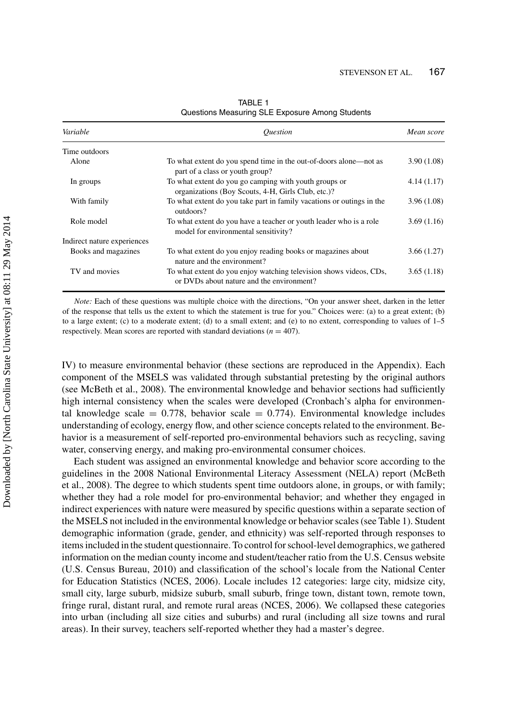| Variable                    | <i><u><b>Ouestion</b></u></i>                                                                                   | Mean score |  |
|-----------------------------|-----------------------------------------------------------------------------------------------------------------|------------|--|
| Time outdoors               |                                                                                                                 |            |  |
| Alone                       | To what extent do you spend time in the out-of-doors alone—not as<br>part of a class or youth group?            | 3.90(1.08) |  |
| In groups                   | To what extent do you go camping with youth groups or<br>organizations (Boy Scouts, 4-H, Girls Club, etc.)?     | 4.14(1.17) |  |
| With family                 | To what extent do you take part in family vacations or outings in the<br>outdoors?                              | 3.96(1.08) |  |
| Role model                  | To what extent do you have a teacher or youth leader who is a role<br>model for environmental sensitivity?      | 3.69(1.16) |  |
| Indirect nature experiences |                                                                                                                 |            |  |
| Books and magazines         | To what extent do you enjoy reading books or magazines about<br>nature and the environment?                     | 3.66(1.27) |  |
| TV and movies               | To what extent do you enjoy watching television shows videos, CDs,<br>or DVDs about nature and the environment? | 3.65(1.18) |  |

TABLE 1 Questions Measuring SLE Exposure Among Students

*Note:* Each of these questions was multiple choice with the directions, "On your answer sheet, darken in the letter of the response that tells us the extent to which the statement is true for you." Choices were: (a) to a great extent; (b) to a large extent; (c) to a moderate extent; (d) to a small extent; and (e) to no extent, corresponding to values of 1–5 respectively. Mean scores are reported with standard deviations  $(n = 407)$ .

IV) to measure environmental behavior (these sections are reproduced in the Appendix). Each component of the MSELS was validated through substantial pretesting by the original authors (see McBeth et al., 2008). The environmental knowledge and behavior sections had sufficiently high internal consistency when the scales were developed (Cronbach's alpha for environmental knowledge scale =  $0.778$ , behavior scale =  $0.774$ ). Environmental knowledge includes understanding of ecology, energy flow, and other science concepts related to the environment. Behavior is a measurement of self-reported pro-environmental behaviors such as recycling, saving water, conserving energy, and making pro-environmental consumer choices.

Each student was assigned an environmental knowledge and behavior score according to the guidelines in the 2008 National Environmental Literacy Assessment (NELA) report (McBeth et al., 2008). The degree to which students spent time outdoors alone, in groups, or with family; whether they had a role model for pro-environmental behavior; and whether they engaged in indirect experiences with nature were measured by specific questions within a separate section of the MSELS not included in the environmental knowledge or behavior scales (see Table 1). Student demographic information (grade, gender, and ethnicity) was self-reported through responses to items included in the student questionnaire. To control for school-level demographics, we gathered information on the median county income and student/teacher ratio from the U.S. Census website (U.S. Census Bureau, 2010) and classification of the school's locale from the National Center for Education Statistics (NCES, 2006). Locale includes 12 categories: large city, midsize city, small city, large suburb, midsize suburb, small suburb, fringe town, distant town, remote town, fringe rural, distant rural, and remote rural areas (NCES, 2006). We collapsed these categories into urban (including all size cities and suburbs) and rural (including all size towns and rural areas). In their survey, teachers self-reported whether they had a master's degree.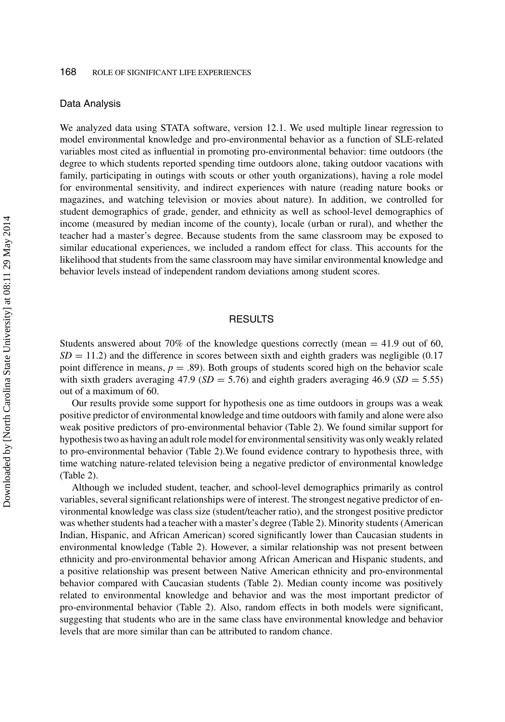#### Data Analysis

We analyzed data using STATA software, version 12.1. We used multiple linear regression to model environmental knowledge and pro-environmental behavior as a function of SLE-related variables most cited as influential in promoting pro-environmental behavior: time outdoors (the degree to which students reported spending time outdoors alone, taking outdoor vacations with family, participating in outings with scouts or other youth organizations), having a role model for environmental sensitivity, and indirect experiences with nature (reading nature books or magazines, and watching television or movies about nature). In addition, we controlled for student demographics of grade, gender, and ethnicity as well as school-level demographics of income (measured by median income of the county), locale (urban or rural), and whether the teacher had a master's degree. Because students from the same classroom may be exposed to similar educational experiences, we included a random effect for class. This accounts for the likelihood that students from the same classroom may have similar environmental knowledge and behavior levels instead of independent random deviations among student scores.

#### RESULTS

Students answered about 70% of the knowledge questions correctly (mean  $= 41.9$  out of 60,  $SD = 11.2$ ) and the difference in scores between sixth and eighth graders was negligible  $(0.17)$ point difference in means,  $p = .89$ ). Both groups of students scored high on the behavior scale with sixth graders averaging 47.9 ( $SD = 5.76$ ) and eighth graders averaging 46.9 ( $SD = 5.55$ ) out of a maximum of 60.

Our results provide some support for hypothesis one as time outdoors in groups was a weak positive predictor of environmental knowledge and time outdoors with family and alone were also weak positive predictors of pro-environmental behavior (Table 2). We found similar support for hypothesis two as having an adult role model for environmental sensitivity was only weakly related to pro-environmental behavior (Table 2).We found evidence contrary to hypothesis three, with time watching nature-related television being a negative predictor of environmental knowledge (Table 2).

Although we included student, teacher, and school-level demographics primarily as control variables, several significant relationships were of interest. The strongest negative predictor of environmental knowledge was class size (student/teacher ratio), and the strongest positive predictor was whether students had a teacher with a master's degree (Table 2). Minority students (American Indian, Hispanic, and African American) scored significantly lower than Caucasian students in environmental knowledge (Table 2). However, a similar relationship was not present between ethnicity and pro-environmental behavior among African American and Hispanic students, and a positive relationship was present between Native American ethnicity and pro-environmental behavior compared with Caucasian students (Table 2). Median county income was positively related to environmental knowledge and behavior and was the most important predictor of pro-environmental behavior (Table 2). Also, random effects in both models were significant, suggesting that students who are in the same class have environmental knowledge and behavior levels that are more similar than can be attributed to random chance.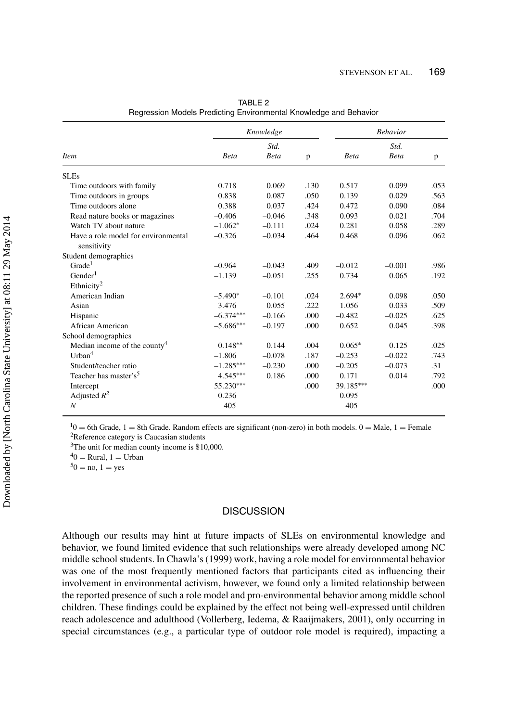|                                                    | Knowledge   |          |      | <b>Behavior</b> |             |              |
|----------------------------------------------------|-------------|----------|------|-----------------|-------------|--------------|
|                                                    | Std.        |          |      | Std.            |             |              |
| <i>Item</i>                                        | <b>Beta</b> | Beta     | p    | <b>Beta</b>     | <b>Beta</b> | $\mathbf{p}$ |
| <b>SLEs</b>                                        |             |          |      |                 |             |              |
| Time outdoors with family                          | 0.718       | 0.069    | .130 | 0.517           | 0.099       | .053         |
| Time outdoors in groups                            | 0.838       | 0.087    | .050 | 0.139           | 0.029       | .563         |
| Time outdoors alone                                | 0.388       | 0.037    | .424 | 0.472           | 0.090       | .084         |
| Read nature books or magazines                     | $-0.406$    | $-0.046$ | .348 | 0.093           | 0.021       | .704         |
| Watch TV about nature                              | $-1.062*$   | $-0.111$ | .024 | 0.281           | 0.058       | .289         |
| Have a role model for environmental<br>sensitivity | $-0.326$    | $-0.034$ | .464 | 0.468           | 0.096       | .062         |
| Student demographics                               |             |          |      |                 |             |              |
| Grade <sup>1</sup>                                 | $-0.964$    | $-0.043$ | .409 | $-0.012$        | $-0.001$    | .986         |
| Gender <sup>1</sup>                                | $-1.139$    | $-0.051$ | .255 | 0.734           | 0.065       | .192         |
| Ethnicity <sup>2</sup>                             |             |          |      |                 |             |              |
| American Indian                                    | $-5.490*$   | $-0.101$ | .024 | $2.694*$        | 0.098       | .050         |
| Asian                                              | 3.476       | 0.055    | .222 | 1.056           | 0.033       | .509         |
| Hispanic                                           | $-6.374***$ | $-0.166$ | .000 | $-0.482$        | $-0.025$    | .625         |
| African American                                   | $-5.686***$ | $-0.197$ | .000 | 0.652           | 0.045       | .398         |
| School demographics                                |             |          |      |                 |             |              |
| Median income of the county <sup>4</sup>           | $0.148**$   | 0.144    | .004 | $0.065*$        | 0.125       | .025         |
| Urban <sup>4</sup>                                 | $-1.806$    | $-0.078$ | .187 | $-0.253$        | $-0.022$    | .743         |
| Student/teacher ratio                              | $-1.285***$ | $-0.230$ | .000 | $-0.205$        | $-0.073$    | .31          |
| Teacher has master's <sup>5</sup>                  | 4.545***    | 0.186    | .000 | 0.171           | 0.014       | .792         |
| Intercept                                          | 55.230***   |          | .000 | 39.185***       |             | .000         |
| Adjusted $R^2$                                     | 0.236       |          |      | 0.095           |             |              |
| N                                                  | 405         |          |      | 405             |             |              |

TABLE 2 Regression Models Predicting Environmental Knowledge and Behavior

 $10 = 6$ th Grade, 1 = 8th Grade. Random effects are significant (non-zero) in both models. 0 = Male, 1 = Female <sup>2</sup>Reference category is Caucasian students

3The unit for median county income is \$10,000.

 $^{4}0 =$ Rural, 1 = Urban<br> $^{5}0 =$  no, 1 = yes

#### **DISCUSSION**

Although our results may hint at future impacts of SLEs on environmental knowledge and behavior, we found limited evidence that such relationships were already developed among NC middle school students. In Chawla's (1999) work, having a role model for environmental behavior was one of the most frequently mentioned factors that participants cited as influencing their involvement in environmental activism, however, we found only a limited relationship between the reported presence of such a role model and pro-environmental behavior among middle school children. These findings could be explained by the effect not being well-expressed until children reach adolescence and adulthood (Vollerberg, Iedema, & Raaijmakers, 2001), only occurring in special circumstances (e.g., a particular type of outdoor role model is required), impacting a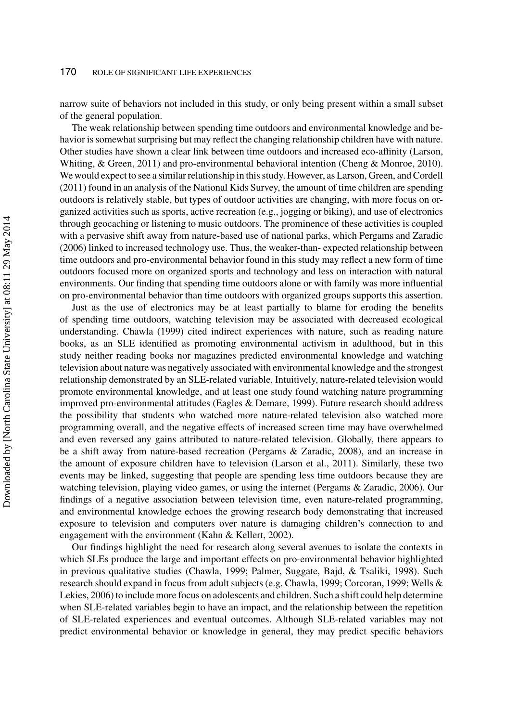narrow suite of behaviors not included in this study, or only being present within a small subset of the general population.

The weak relationship between spending time outdoors and environmental knowledge and behavior is somewhat surprising but may reflect the changing relationship children have with nature. Other studies have shown a clear link between time outdoors and increased eco-affinity (Larson, Whiting, & Green, 2011) and pro-environmental behavioral intention (Cheng & Monroe, 2010). We would expect to see a similar relationship in this study. However, as Larson, Green, and Cordell (2011) found in an analysis of the National Kids Survey, the amount of time children are spending outdoors is relatively stable, but types of outdoor activities are changing, with more focus on organized activities such as sports, active recreation (e.g., jogging or biking), and use of electronics through geocaching or listening to music outdoors. The prominence of these activities is coupled with a pervasive shift away from nature-based use of national parks, which Pergams and Zaradic (2006) linked to increased technology use. Thus, the weaker-than- expected relationship between time outdoors and pro-environmental behavior found in this study may reflect a new form of time outdoors focused more on organized sports and technology and less on interaction with natural environments. Our finding that spending time outdoors alone or with family was more influential on pro-environmental behavior than time outdoors with organized groups supports this assertion.

Just as the use of electronics may be at least partially to blame for eroding the benefits of spending time outdoors, watching television may be associated with decreased ecological understanding. Chawla (1999) cited indirect experiences with nature, such as reading nature books, as an SLE identified as promoting environmental activism in adulthood, but in this study neither reading books nor magazines predicted environmental knowledge and watching television about nature was negatively associated with environmental knowledge and the strongest relationship demonstrated by an SLE-related variable. Intuitively, nature-related television would promote environmental knowledge, and at least one study found watching nature programming improved pro-environmental attitudes (Eagles & Demare, 1999). Future research should address the possibility that students who watched more nature-related television also watched more programming overall, and the negative effects of increased screen time may have overwhelmed and even reversed any gains attributed to nature-related television. Globally, there appears to be a shift away from nature-based recreation (Pergams & Zaradic, 2008), and an increase in the amount of exposure children have to television (Larson et al., 2011). Similarly, these two events may be linked, suggesting that people are spending less time outdoors because they are watching television, playing video games, or using the internet (Pergams & Zaradic, 2006). Our findings of a negative association between television time, even nature-related programming, and environmental knowledge echoes the growing research body demonstrating that increased exposure to television and computers over nature is damaging children's connection to and engagement with the environment (Kahn & Kellert, 2002).

Our findings highlight the need for research along several avenues to isolate the contexts in which SLEs produce the large and important effects on pro-environmental behavior highlighted in previous qualitative studies (Chawla, 1999; Palmer, Suggate, Bajd, & Tsaliki, 1998). Such research should expand in focus from adult subjects (e.g. Chawla, 1999; Corcoran, 1999; Wells & Lekies, 2006) to include more focus on adolescents and children. Such a shift could help determine when SLE-related variables begin to have an impact, and the relationship between the repetition of SLE-related experiences and eventual outcomes. Although SLE-related variables may not predict environmental behavior or knowledge in general, they may predict specific behaviors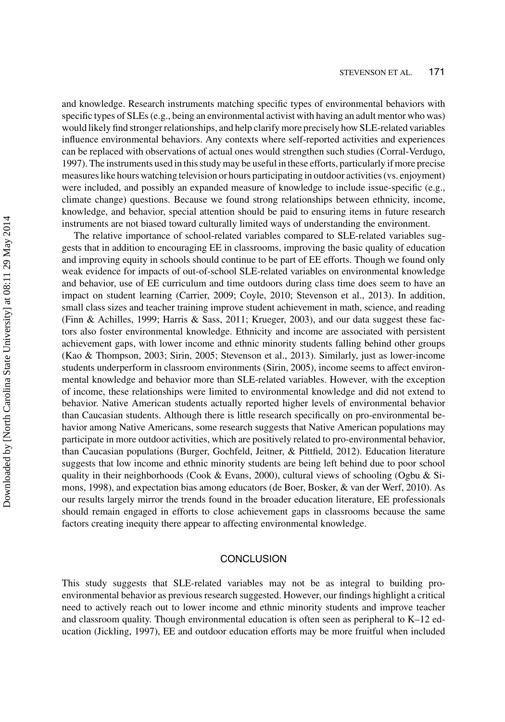and knowledge. Research instruments matching specific types of environmental behaviors with specific types of SLEs (e.g., being an environmental activist with having an adult mentor who was) would likely find stronger relationships, and help clarify more precisely how SLE-related variables influence environmental behaviors. Any contexts where self-reported activities and experiences can be replaced with observations of actual ones would strengthen such studies (Corral-Verdugo, 1997). The instruments used in this study may be useful in these efforts, particularly if more precise measures like hours watching television or hours participating in outdoor activities (vs. enjoyment) were included, and possibly an expanded measure of knowledge to include issue-specific (e.g., climate change) questions. Because we found strong relationships between ethnicity, income, knowledge, and behavior, special attention should be paid to ensuring items in future research instruments are not biased toward culturally limited ways of understanding the environment.

The relative importance of school-related variables compared to SLE-related variables suggests that in addition to encouraging EE in classrooms, improving the basic quality of education and improving equity in schools should continue to be part of EE efforts. Though we found only weak evidence for impacts of out-of-school SLE-related variables on environmental knowledge and behavior, use of EE curriculum and time outdoors during class time does seem to have an impact on student learning (Carrier, 2009; Coyle, 2010; Stevenson et al., 2013). In addition, small class sizes and teacher training improve student achievement in math, science, and reading (Finn & Achilles, 1999; Harris & Sass, 2011; Krueger, 2003), and our data suggest these factors also foster environmental knowledge. Ethnicity and income are associated with persistent achievement gaps, with lower income and ethnic minority students falling behind other groups (Kao & Thompson, 2003; Sirin, 2005; Stevenson et al., 2013). Similarly, just as lower-income students underperform in classroom environments (Sirin, 2005), income seems to affect environmental knowledge and behavior more than SLE-related variables. However, with the exception of income, these relationships were limited to environmental knowledge and did not extend to behavior. Native American students actually reported higher levels of environmental behavior than Caucasian students. Although there is little research specifically on pro-environmental behavior among Native Americans, some research suggests that Native American populations may participate in more outdoor activities, which are positively related to pro-environmental behavior, than Caucasian populations (Burger, Gochfeld, Jeitner, & Pittfield, 2012). Education literature suggests that low income and ethnic minority students are being left behind due to poor school quality in their neighborhoods (Cook & Evans, 2000), cultural views of schooling (Ogbu & Simons, 1998), and expectation bias among educators (de Boer, Bosker, & van der Werf, 2010). As our results largely mirror the trends found in the broader education literature, EE professionals should remain engaged in efforts to close achievement gaps in classrooms because the same factors creating inequity there appear to affecting environmental knowledge.

#### **CONCLUSION**

This study suggests that SLE-related variables may not be as integral to building proenvironmental behavior as previous research suggested. However, our findings highlight a critical need to actively reach out to lower income and ethnic minority students and improve teacher and classroom quality. Though environmental education is often seen as peripheral to K–12 education (Jickling, 1997), EE and outdoor education efforts may be more fruitful when included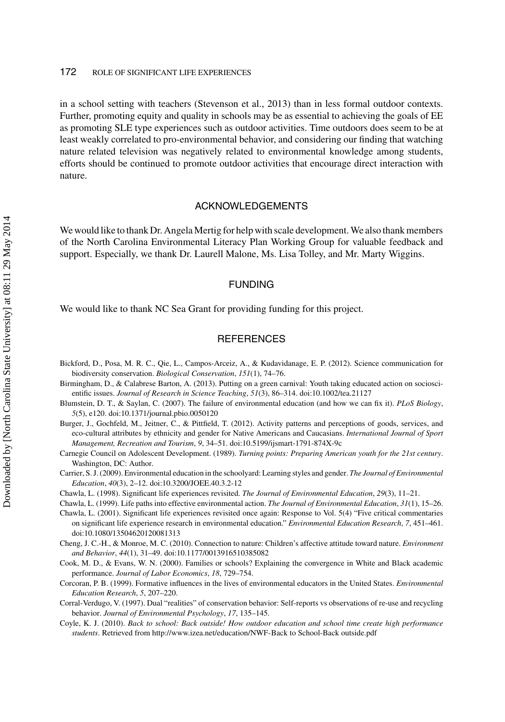in a school setting with teachers (Stevenson et al., 2013) than in less formal outdoor contexts. Further, promoting equity and quality in schools may be as essential to achieving the goals of EE as promoting SLE type experiences such as outdoor activities. Time outdoors does seem to be at least weakly correlated to pro-environmental behavior, and considering our finding that watching nature related television was negatively related to environmental knowledge among students, efforts should be continued to promote outdoor activities that encourage direct interaction with nature.

#### ACKNOWLEDGEMENTS

We would like to thank Dr. Angela Mertig for help with scale development. We also thank members of the North Carolina Environmental Literacy Plan Working Group for valuable feedback and support. Especially, we thank Dr. Laurell Malone, Ms. Lisa Tolley, and Mr. Marty Wiggins.

#### FUNDING

We would like to thank NC Sea Grant for providing funding for this project.

#### **REFERENCES**

- Bickford, D., Posa, M. R. C., Qie, L., Campos-Arceiz, A., & Kudavidanage, E. P. (2012). Science communication for biodiversity conservation. *Biological Conservation*, *151*(1), 74–76.
- Birmingham, D., & Calabrese Barton, A. (2013). Putting on a green carnival: Youth taking educated action on socioscientific issues. *Journal of Research in Science Teaching*, *51*(3), 86–314. doi:10.1002/tea.21127
- Blumstein, D. T., & Saylan, C. (2007). The failure of environmental education (and how we can fix it). *PLoS Biology*, *5*(5), e120. doi:10.1371/journal.pbio.0050120
- Burger, J., Gochfeld, M., Jeitner, C., & Pittfield, T. (2012). Activity patterns and perceptions of goods, services, and eco-cultural attributes by ethnicity and gender for Native Americans and Caucasians. *International Journal of Sport Management, Recreation and Tourism*, *9*, 34–51. doi:10.5199/ijsmart-1791-874X-9c
- Carnegie Council on Adolescent Development. (1989). *Turning points: Preparing American youth for the 21st century*. Washington, DC: Author.
- Carrier, S. J. (2009). Environmental education in the schoolyard: Learning styles and gender. *The Journal of Environmental Education*, *40*(3), 2–12. doi:10.3200/JOEE.40.3.2-12
- Chawla, L. (1998). Significant life experiences revisited. *The Journal of Environmental Education*, *29*(3), 11–21.
- Chawla, L. (1999). Life paths into effective environmental action. *The Journal of Environmental Education*, *31*(1), 15–26.
- Chawla, L. (2001). Significant life experiences revisited once again: Response to Vol. 5(4) "Five critical commentaries on significant life experience research in environmental education." *Environmental Education Research*, *7*, 451–461. doi:10.1080/13504620120081313
- Cheng, J. C.-H., & Monroe, M. C. (2010). Connection to nature: Children's affective attitude toward nature. *Environment and Behavior*, *44*(1), 31–49. doi:10.1177/0013916510385082
- Cook, M. D., & Evans, W. N. (2000). Families or schools? Explaining the convergence in White and Black academic performance. *Journal of Labor Economics*, *18*, 729–754.
- Corcoran, P. B. (1999). Formative influences in the lives of environmental educators in the United States. *Environmental Education Research*, *5*, 207–220.
- Corral-Verdugo, V. (1997). Dual "realities" of conservation behavior: Self-reports vs observations of re-use and recycling behavior. *Journal of Environmental Psychology*, *17*, 135–145.
- Coyle, K. J. (2010). *Back to school: Back outside! How outdoor education and school time create high performance students*. Retrieved from http://www.izea.net/education/NWF-Back to School-Back outside.pdf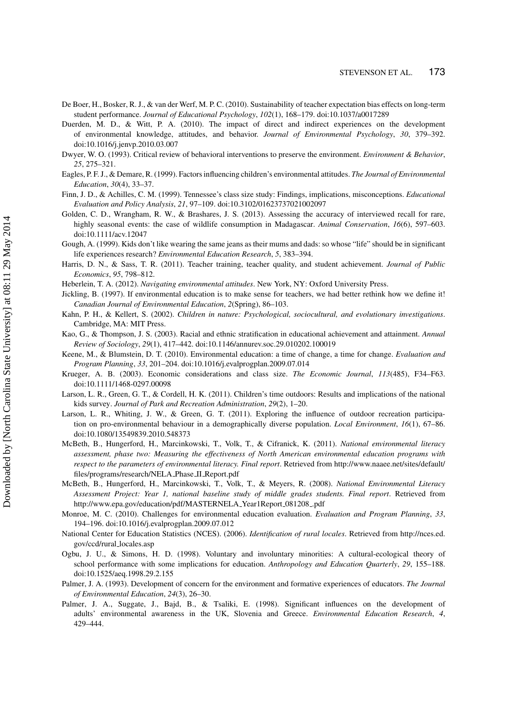- De Boer, H., Bosker, R. J., & van der Werf, M. P. C. (2010). Sustainability of teacher expectation bias effects on long-term student performance. *Journal of Educational Psychology*, *102*(1), 168–179. doi:10.1037/a0017289
- Duerden, M. D., & Witt, P. A. (2010). The impact of direct and indirect experiences on the development of environmental knowledge, attitudes, and behavior. *Journal of Environmental Psychology*, *30*, 379–392. doi:10.1016/j.jenvp.2010.03.007
- Dwyer, W. O. (1993). Critical review of behavioral interventions to preserve the environment. *Environment & Behavior*, *25*, 275–321.
- Eagles, P. F. J., & Demare, R. (1999). Factors influencing children's environmental attitudes. *The Journal of Environmental Education*, *30*(4), 33–37.
- Finn, J. D., & Achilles, C. M. (1999). Tennessee's class size study: Findings, implications, misconceptions. *Educational Evaluation and Policy Analysis*, *21*, 97–109. doi:10.3102/01623737021002097
- Golden, C. D., Wrangham, R. W., & Brashares, J. S. (2013). Assessing the accuracy of interviewed recall for rare, highly seasonal events: the case of wildlife consumption in Madagascar. *Animal Conservation*, *16*(6), 597–603. doi:10.1111/acv.12047
- Gough, A. (1999). Kids don't like wearing the same jeans as their mums and dads: so whose "life" should be in significant life experiences research? *Environmental Education Research*, *5*, 383–394.
- Harris, D. N., & Sass, T. R. (2011). Teacher training, teacher quality, and student achievement. *Journal of Public Economics*, *95*, 798–812.
- Heberlein, T. A. (2012). *Navigating environmental attitudes*. New York, NY: Oxford University Press.
- Jickling, B. (1997). If environmental education is to make sense for teachers, we had better rethink how we define it! *Canadian Journal of Environmental Education*, *2*(Spring), 86–103.
- Kahn, P. H., & Kellert, S. (2002). *Children in nature: Psychological, sociocultural, and evolutionary investigations*. Cambridge, MA: MIT Press.
- Kao, G., & Thompson, J. S. (2003). Racial and ethnic stratification in educational achievement and attainment. *Annual Review of Sociology*, *29*(1), 417–442. doi:10.1146/annurev.soc.29.010202.100019
- Keene, M., & Blumstein, D. T. (2010). Environmental education: a time of change, a time for change. *Evaluation and Program Planning*, *33*, 201–204. doi:10.1016/j.evalprogplan.2009.07.014
- Krueger, A. B. (2003). Economic considerations and class size. *The Economic Journal*, *113*(485), F34–F63. doi:10.1111/1468-0297.00098
- Larson, L. R., Green, G. T., & Cordell, H. K. (2011). Children's time outdoors: Results and implications of the national kids survey. *Journal of Park and Recreation Administration*, *29*(2), 1–20.
- Larson, L. R., Whiting, J. W., & Green, G. T. (2011). Exploring the influence of outdoor recreation participation on pro-environmental behaviour in a demographically diverse population. *Local Environment*, *16*(1), 67–86. doi:10.1080/13549839.2010.548373
- McBeth, B., Hungerford, H., Marcinkowski, T., Volk, T., & Cifranick, K. (2011). *National environmental literacy assessment, phase two: Measuring the effectiveness of North American environmental education programs with respect to the parameters of environmental literacy. Final report*. Retrieved from http://www.naaee.net/sites/default/ files/programs/research/NELA Phase II Report.pdf
- McBeth, B., Hungerford, H., Marcinkowski, T., Volk, T., & Meyers, R. (2008). *National Environmental Literacy Assessment Project: Year 1, national baseline study of middle grades students. Final report*. Retrieved from http://www.epa.gov/education/pdf/MASTERNELA\_Year1Report\_081208\_pdf
- Monroe, M. C. (2010). Challenges for environmental education evaluation. *Evaluation and Program Planning*, *33*, 194–196. doi:10.1016/j.evalprogplan.2009.07.012
- National Center for Education Statistics (NCES). (2006). *Identification of rural locales*. Retrieved from http://nces.ed. gov/ccd/rural locales.asp
- Ogbu, J. U., & Simons, H. D. (1998). Voluntary and involuntary minorities: A cultural-ecological theory of school performance with some implications for education. *Anthropology and Education Quarterly*, *29*, 155–188. doi:10.1525/aeq.1998.29.2.155
- Palmer, J. A. (1993). Development of concern for the environment and formative experiences of educators. *The Journal of Environmental Education*, *24*(3), 26–30.
- Palmer, J. A., Suggate, J., Bajd, B., & Tsaliki, E. (1998). Significant influences on the development of adults' environmental awareness in the UK, Slovenia and Greece. *Environmental Education Research*, *4*, 429–444.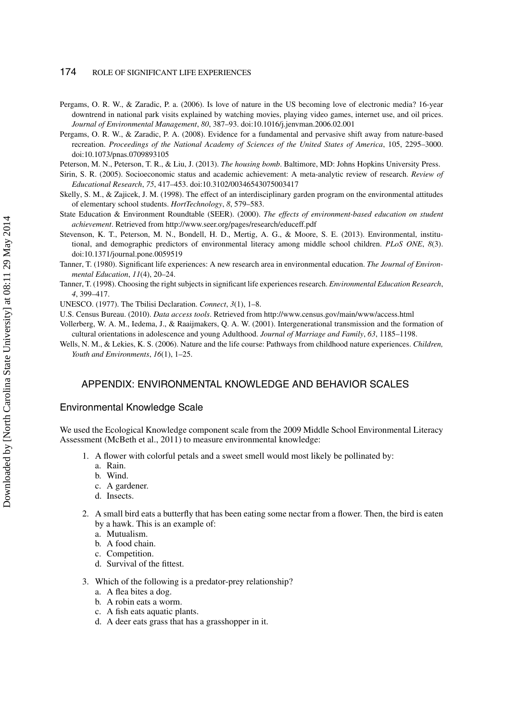- Pergams, O. R. W., & Zaradic, P. a. (2006). Is love of nature in the US becoming love of electronic media? 16-vear downtrend in national park visits explained by watching movies, playing video games, internet use, and oil prices. *Journal of Environmental Management*, *80*, 387–93. doi:10.1016/j.jenvman.2006.02.001
- Pergams, O. R. W., & Zaradic, P. A. (2008). Evidence for a fundamental and pervasive shift away from nature-based recreation. *Proceedings of the National Academy of Sciences of the United States of America*, 105, 2295–3000. doi:10.1073/pnas.0709893105
- Peterson, M. N., Peterson, T. R., & Liu, J. (2013). *The housing bomb*. Baltimore, MD: Johns Hopkins University Press.
- Sirin, S. R. (2005). Socioeconomic status and academic achievement: A meta-analytic review of research. *Review of Educational Research*, *75*, 417–453. doi:10.3102/00346543075003417
- Skelly, S. M., & Zajicek, J. M. (1998). The effect of an interdisciplinary garden program on the environmental attitudes of elementary school students. *HortTechnology*, *8*, 579–583.
- State Education & Environment Roundtable (SEER). (2000). *The effects of environment-based education on student achievement*. Retrieved from http://www.seer.org/pages/research/educeff.pdf
- Stevenson, K. T., Peterson, M. N., Bondell, H. D., Mertig, A. G., & Moore, S. E. (2013). Environmental, institutional, and demographic predictors of environmental literacy among middle school children. *PLoS ONE*, *8*(3). doi:10.1371/journal.pone.0059519
- Tanner, T. (1980). Significant life experiences: A new research area in environmental education. *The Journal of Environmental Education*, *11*(4), 20–24.
- Tanner, T. (1998). Choosing the right subjects in significant life experiences research. *Environmental Education Research*, *4*, 399–417.
- UNESCO. (1977). The Tbilisi Declaration. *Connect*, *3*(1), 1–8.
- U.S. Census Bureau. (2010). *Data access tools*. Retrieved from http://www.census.gov/main/www/access.html
- Vollerberg, W. A. M., Iedema, J., & Raaijmakers, Q. A. W. (2001). Intergenerational transmission and the formation of cultural orientations in adolescence and young Adulthood. *Journal of Marriage and Family*, *63*, 1185–1198.
- Wells, N. M., & Lekies, K. S. (2006). Nature and the life course: Pathways from childhood nature experiences. *Children, Youth and Environments*, *16*(1), 1–25.

#### APPENDIX: ENVIRONMENTAL KNOWLEDGE AND BEHAVIOR SCALES

#### Environmental Knowledge Scale

We used the Ecological Knowledge component scale from the 2009 Middle School Environmental Literacy Assessment (McBeth et al., 2011) to measure environmental knowledge:

- 1. A flower with colorful petals and a sweet smell would most likely be pollinated by:
	- a. Rain.
	- b. Wind.
	- c. A gardener.
	- d. Insects.
- 2. A small bird eats a butterfly that has been eating some nectar from a flower. Then, the bird is eaten by a hawk. This is an example of:
	- a. Mutualism.
	- b. A food chain.
	- c. Competition.
	- d. Survival of the fittest.
- 3. Which of the following is a predator-prey relationship?
	- a. A flea bites a dog.
	- b. A robin eats a worm.
	- c. A fish eats aquatic plants.
	- d. A deer eats grass that has a grasshopper in it.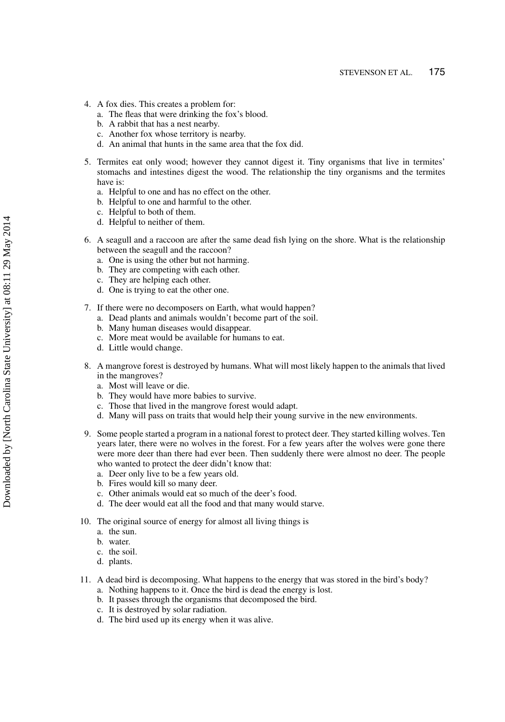- 4. A fox dies. This creates a problem for:
	- a. The fleas that were drinking the fox's blood.
	- b. A rabbit that has a nest nearby.
	- c. Another fox whose territory is nearby.
	- d. An animal that hunts in the same area that the fox did.
- 5. Termites eat only wood; however they cannot digest it. Tiny organisms that live in termites' stomachs and intestines digest the wood. The relationship the tiny organisms and the termites have is:
	- a. Helpful to one and has no effect on the other.
	- b. Helpful to one and harmful to the other.
	- c. Helpful to both of them.
	- d. Helpful to neither of them.
- 6. A seagull and a raccoon are after the same dead fish lying on the shore. What is the relationship between the seagull and the raccoon?
	- a. One is using the other but not harming.
	- b. They are competing with each other.
	- c. They are helping each other.
	- d. One is trying to eat the other one.
- 7. If there were no decomposers on Earth, what would happen?
	- a. Dead plants and animals wouldn't become part of the soil.
	- b. Many human diseases would disappear.
	- c. More meat would be available for humans to eat.
	- d. Little would change.
- 8. A mangrove forest is destroyed by humans. What will most likely happen to the animals that lived in the mangroves?
	- a. Most will leave or die.
	- b. They would have more babies to survive.
	- c. Those that lived in the mangrove forest would adapt.
	- d. Many will pass on traits that would help their young survive in the new environments.
- 9. Some people started a program in a national forest to protect deer. They started killing wolves. Ten years later, there were no wolves in the forest. For a few years after the wolves were gone there were more deer than there had ever been. Then suddenly there were almost no deer. The people who wanted to protect the deer didn't know that:
	- a. Deer only live to be a few years old.
	- b. Fires would kill so many deer.
	- c. Other animals would eat so much of the deer's food.
	- d. The deer would eat all the food and that many would starve.
- 10. The original source of energy for almost all living things is
	- a. the sun.
	- b. water.
	- c. the soil.
	- d. plants.
- 11. A dead bird is decomposing. What happens to the energy that was stored in the bird's body?
	- a. Nothing happens to it. Once the bird is dead the energy is lost.
	- b. It passes through the organisms that decomposed the bird.
	- c. It is destroyed by solar radiation.
	- d. The bird used up its energy when it was alive.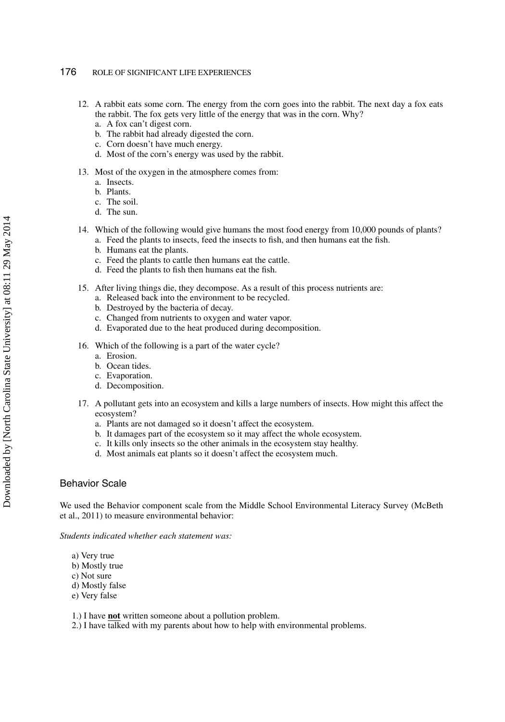- 12. A rabbit eats some corn. The energy from the corn goes into the rabbit. The next day a fox eats the rabbit. The fox gets very little of the energy that was in the corn. Why?
	- a. A fox can't digest corn.
	- b. The rabbit had already digested the corn.
	- c. Corn doesn't have much energy.
	- d. Most of the corn's energy was used by the rabbit.
- 13. Most of the oxygen in the atmosphere comes from:
	- a. Insects.
	- b. Plants.
	- c. The soil.
	- d. The sun.
- 14. Which of the following would give humans the most food energy from 10,000 pounds of plants?
	- a. Feed the plants to insects, feed the insects to fish, and then humans eat the fish.
	- b. Humans eat the plants.
	- c. Feed the plants to cattle then humans eat the cattle.
	- d. Feed the plants to fish then humans eat the fish.
- 15. After living things die, they decompose. As a result of this process nutrients are:
	- a. Released back into the environment to be recycled.
	- b. Destroyed by the bacteria of decay.
	- c. Changed from nutrients to oxygen and water vapor.
	- d. Evaporated due to the heat produced during decomposition.
- 16. Which of the following is a part of the water cycle?
	- a. Erosion.
	- b. Ocean tides.
	- c. Evaporation.
	- d. Decomposition.
- 17. A pollutant gets into an ecosystem and kills a large numbers of insects. How might this affect the ecosystem?
	- a. Plants are not damaged so it doesn't affect the ecosystem.
	- b. It damages part of the ecosystem so it may affect the whole ecosystem.
	- c. It kills only insects so the other animals in the ecosystem stay healthy.
	- d. Most animals eat plants so it doesn't affect the ecosystem much.

#### Behavior Scale

We used the Behavior component scale from the Middle School Environmental Literacy Survey (McBeth et al., 2011) to measure environmental behavior:

*Students indicated whether each statement was:*

- a) Very true
- b) Mostly true
- c) Not sure
- d) Mostly false
- e) Very false

1.) I have **not** written someone about a pollution problem.

2.) I have talked with my parents about how to help with environmental problems.